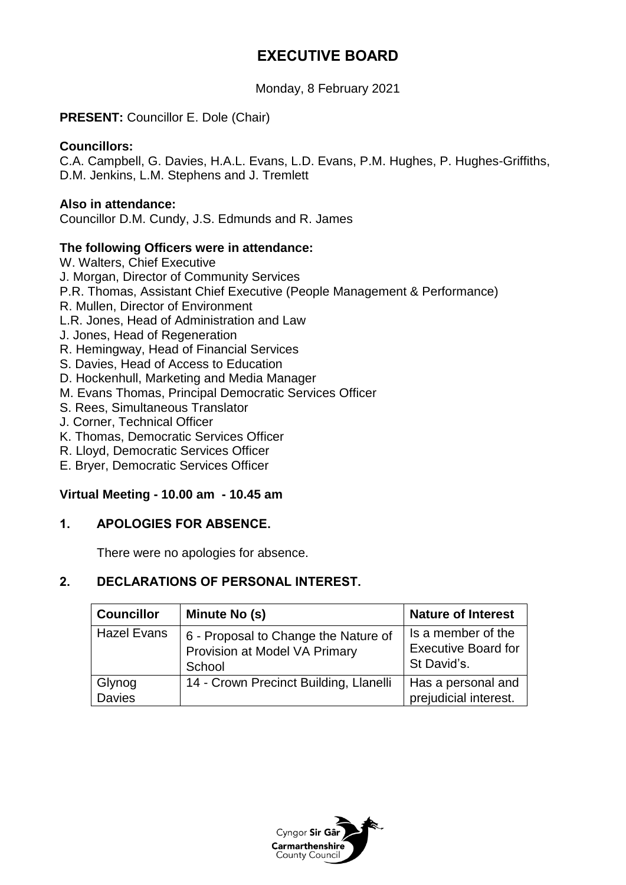# **EXECUTIVE BOARD**

Monday, 8 February 2021

# **PRESENT:** Councillor E. Dole (Chair)

#### **Councillors:**

C.A. Campbell, G. Davies, H.A.L. Evans, L.D. Evans, P.M. Hughes, P. Hughes-Griffiths, D.M. Jenkins, L.M. Stephens and J. Tremlett

#### **Also in attendance:**

Councillor D.M. Cundy, J.S. Edmunds and R. James

#### **The following Officers were in attendance:**

- W. Walters, Chief Executive J. Morgan, Director of Community Services P.R. Thomas, Assistant Chief Executive (People Management & Performance) R. Mullen, Director of Environment L.R. Jones, Head of Administration and Law J. Jones, Head of Regeneration
- R. Hemingway, Head of Financial Services
- S. Davies, Head of Access to Education
- D. Hockenhull, Marketing and Media Manager
- M. Evans Thomas, Principal Democratic Services Officer
- S. Rees, Simultaneous Translator
- J. Corner, Technical Officer
- K. Thomas, Democratic Services Officer
- R. Lloyd, Democratic Services Officer
- E. Bryer, Democratic Services Officer

#### **Virtual Meeting - 10.00 am - 10.45 am**

#### **1. APOLOGIES FOR ABSENCE.**

There were no apologies for absence.

#### **2. DECLARATIONS OF PERSONAL INTEREST.**

| <b>Councillor</b>       | Minute No (s)                                                                   | <b>Nature of Interest</b>                                       |
|-------------------------|---------------------------------------------------------------------------------|-----------------------------------------------------------------|
| <b>Hazel Evans</b>      | 6 - Proposal to Change the Nature of<br>Provision at Model VA Primary<br>School | Is a member of the<br><b>Executive Board for</b><br>St David's. |
| Glynog<br><b>Davies</b> | 14 - Crown Precinct Building, Llanelli                                          | Has a personal and<br>prejudicial interest.                     |

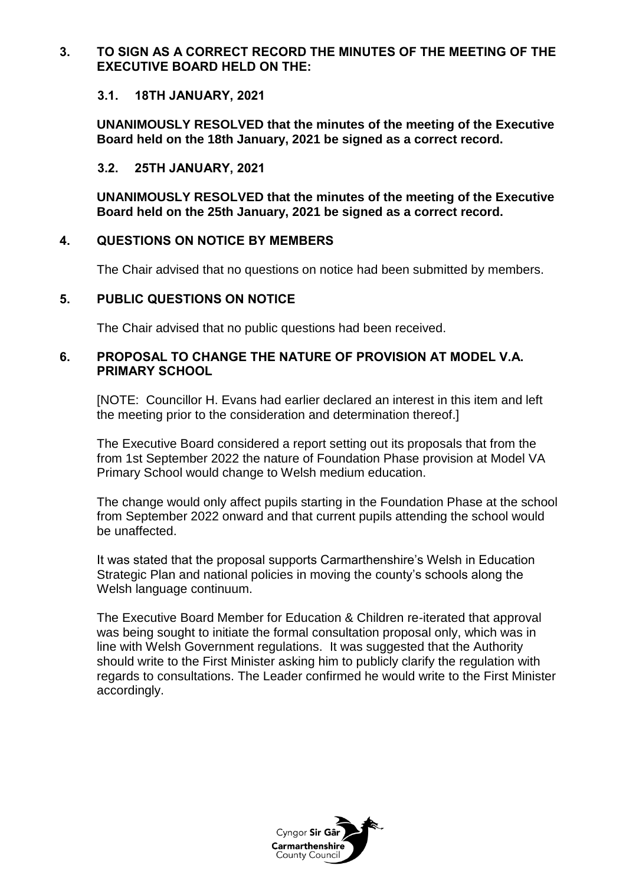### **3. TO SIGN AS A CORRECT RECORD THE MINUTES OF THE MEETING OF THE EXECUTIVE BOARD HELD ON THE:**

### **3.1. 18TH JANUARY, 2021**

**UNANIMOUSLY RESOLVED that the minutes of the meeting of the Executive Board held on the 18th January, 2021 be signed as a correct record.**

# **3.2. 25TH JANUARY, 2021**

**UNANIMOUSLY RESOLVED that the minutes of the meeting of the Executive Board held on the 25th January, 2021 be signed as a correct record.**

# **4. QUESTIONS ON NOTICE BY MEMBERS**

The Chair advised that no questions on notice had been submitted by members.

# **5. PUBLIC QUESTIONS ON NOTICE**

The Chair advised that no public questions had been received.

# **6. PROPOSAL TO CHANGE THE NATURE OF PROVISION AT MODEL V.A. PRIMARY SCHOOL**

[NOTE: Councillor H. Evans had earlier declared an interest in this item and left the meeting prior to the consideration and determination thereof.]

The Executive Board considered a report setting out its proposals that from the from 1st September 2022 the nature of Foundation Phase provision at Model VA Primary School would change to Welsh medium education.

The change would only affect pupils starting in the Foundation Phase at the school from September 2022 onward and that current pupils attending the school would be unaffected.

It was stated that the proposal supports Carmarthenshire's Welsh in Education Strategic Plan and national policies in moving the county's schools along the Welsh language continuum.

The Executive Board Member for Education & Children re-iterated that approval was being sought to initiate the formal consultation proposal only, which was in line with Welsh Government regulations. It was suggested that the Authority should write to the First Minister asking him to publicly clarify the regulation with regards to consultations. The Leader confirmed he would write to the First Minister accordingly.

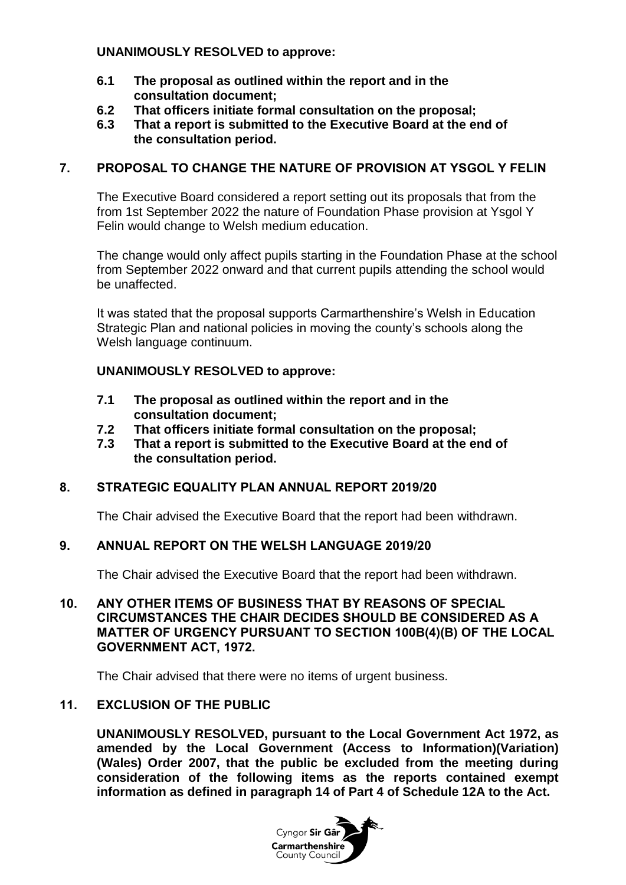## **UNANIMOUSLY RESOLVED to approve:**

- **6.1 The proposal as outlined within the report and in the consultation document;**
- **6.2 That officers initiate formal consultation on the proposal;**
- **6.3 That a report is submitted to the Executive Board at the end of the consultation period.**

# **7. PROPOSAL TO CHANGE THE NATURE OF PROVISION AT YSGOL Y FELIN**

The Executive Board considered a report setting out its proposals that from the from 1st September 2022 the nature of Foundation Phase provision at Ysgol Y Felin would change to Welsh medium education.

The change would only affect pupils starting in the Foundation Phase at the school from September 2022 onward and that current pupils attending the school would be unaffected.

It was stated that the proposal supports Carmarthenshire's Welsh in Education Strategic Plan and national policies in moving the county's schools along the Welsh language continuum.

# **UNANIMOUSLY RESOLVED to approve:**

- **7.1 The proposal as outlined within the report and in the consultation document;**
- **7.2 That officers initiate formal consultation on the proposal;**
- **7.3 That a report is submitted to the Executive Board at the end of the consultation period.**

# **8. STRATEGIC EQUALITY PLAN ANNUAL REPORT 2019/20**

The Chair advised the Executive Board that the report had been withdrawn.

#### **9. ANNUAL REPORT ON THE WELSH LANGUAGE 2019/20**

The Chair advised the Executive Board that the report had been withdrawn.

**10. ANY OTHER ITEMS OF BUSINESS THAT BY REASONS OF SPECIAL CIRCUMSTANCES THE CHAIR DECIDES SHOULD BE CONSIDERED AS A MATTER OF URGENCY PURSUANT TO SECTION 100B(4)(B) OF THE LOCAL GOVERNMENT ACT, 1972.**

The Chair advised that there were no items of urgent business.

#### **11. EXCLUSION OF THE PUBLIC**

**UNANIMOUSLY RESOLVED, pursuant to the Local Government Act 1972, as amended by the Local Government (Access to Information)(Variation) (Wales) Order 2007, that the public be excluded from the meeting during consideration of the following items as the reports contained exempt information as defined in paragraph 14 of Part 4 of Schedule 12A to the Act.**

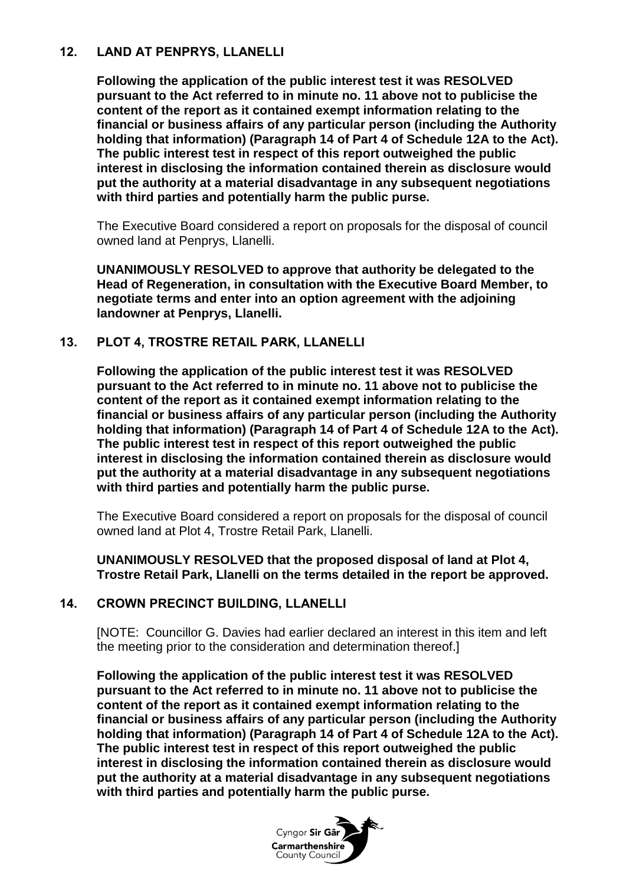# **12. LAND AT PENPRYS, LLANELLI**

**Following the application of the public interest test it was RESOLVED pursuant to the Act referred to in minute no. 11 above not to publicise the content of the report as it contained exempt information relating to the financial or business affairs of any particular person (including the Authority holding that information) (Paragraph 14 of Part 4 of Schedule 12A to the Act). The public interest test in respect of this report outweighed the public interest in disclosing the information contained therein as disclosure would put the authority at a material disadvantage in any subsequent negotiations with third parties and potentially harm the public purse.**

The Executive Board considered a report on proposals for the disposal of council owned land at Penprys, Llanelli.

**UNANIMOUSLY RESOLVED to approve that authority be delegated to the Head of Regeneration, in consultation with the Executive Board Member, to negotiate terms and enter into an option agreement with the adjoining landowner at Penprys, Llanelli.**

# **13. PLOT 4, TROSTRE RETAIL PARK, LLANELLI**

**Following the application of the public interest test it was RESOLVED pursuant to the Act referred to in minute no. 11 above not to publicise the content of the report as it contained exempt information relating to the financial or business affairs of any particular person (including the Authority holding that information) (Paragraph 14 of Part 4 of Schedule 12A to the Act). The public interest test in respect of this report outweighed the public interest in disclosing the information contained therein as disclosure would put the authority at a material disadvantage in any subsequent negotiations with third parties and potentially harm the public purse.**

The Executive Board considered a report on proposals for the disposal of council owned land at Plot 4, Trostre Retail Park, Llanelli.

#### **UNANIMOUSLY RESOLVED that the proposed disposal of land at Plot 4, Trostre Retail Park, Llanelli on the terms detailed in the report be approved.**

# **14. CROWN PRECINCT BUILDING, LLANELLI**

[NOTE: Councillor G. Davies had earlier declared an interest in this item and left the meeting prior to the consideration and determination thereof.]

**Following the application of the public interest test it was RESOLVED pursuant to the Act referred to in minute no. 11 above not to publicise the content of the report as it contained exempt information relating to the financial or business affairs of any particular person (including the Authority holding that information) (Paragraph 14 of Part 4 of Schedule 12A to the Act). The public interest test in respect of this report outweighed the public interest in disclosing the information contained therein as disclosure would put the authority at a material disadvantage in any subsequent negotiations with third parties and potentially harm the public purse.**